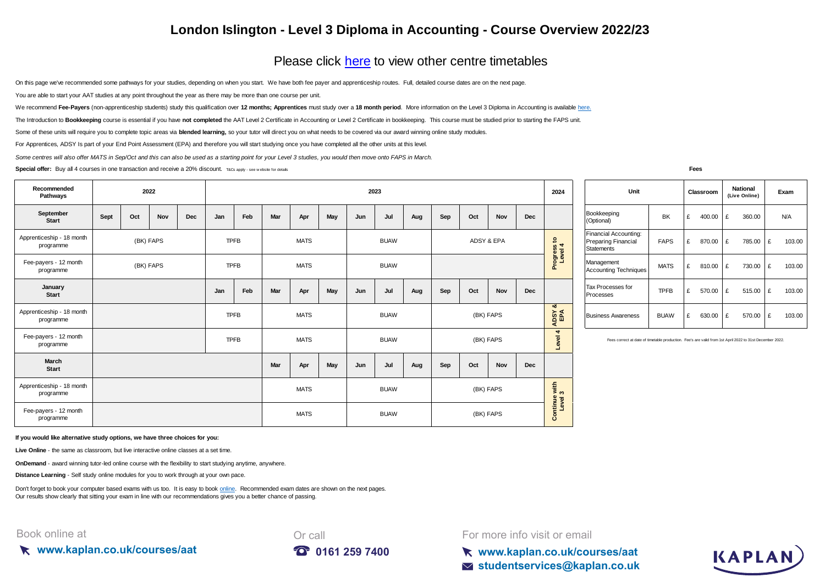## **London Islington - Level 3 Diploma in Accounting - Course Overview 2022/23**

## [Please click here](https://kaplan.co.uk/courses/timetables/aat) to view other centre timetables

On this page we've recommended some pathways for your studies, depending on when you start. We have both fee payer and apprenticeship routes. Full, detailed course dates are on the next page.

You are able to start your AAT studies at any point throughout the year as there may be more than one course per unit.

[We recommend](https://kaplan.co.uk/courses/aat) Fee-Pavers [\(non-apprenticeship students\) study this qualification over](https://kaplan.co.uk/courses/aat) 12 months: Apprentices must study over a 18 month period[. More information on the Level 3 Diploma in Accounting is available h](https://kaplan.co.uk/courses/aat)ere.

The Introduction to Bookkeeping course is essential if you have not completed the AAT Level 2 Certificate in Accounting or Level 2 Certificate in bookkeeping. This course must be studied prior to starting the FAPS unit.

Some of these units will require you to complete topic areas via blended learning, so your tutor will direct you on what needs to be covered via our award winning online study modules.

For Apprentices, ADSY Is part of your End Point Assessment (EPA) and therefore you will start studying once you have completed all the other units at this level.

*Some centres will also offer MATS in Sep/Oct and this can also be used as a starting point for your Level 3 studies, you would then move onto FAPS in March.*

**Special offer:** Buy all 4 courses in one transaction and receive a 20% discount. T&Cs apply - see w ebsite for details **Fees** 

| Recommended<br>Pathways                |      |     | 2022      |     |             |             |     |             |     |     | 2023        |     |     |     |            |            | 2024                                    | Unit                                                                                      | Classroom   |   |        | National<br>(Live Online |      |
|----------------------------------------|------|-----|-----------|-----|-------------|-------------|-----|-------------|-----|-----|-------------|-----|-----|-----|------------|------------|-----------------------------------------|-------------------------------------------------------------------------------------------|-------------|---|--------|--------------------------|------|
| September<br><b>Start</b>              | Sept | Oct | Nov       | Dec | Jan         | Feb         | Mar | Apr         | May | Jun | Jul         | Aug | Sep | Oct | Nov        | <b>Dec</b> |                                         | Bookkeeping<br>(Optional)                                                                 | BK          | £ | 400.00 | £                        | 360. |
| Apprenticeship - 18 month<br>programme |      |     | (BK) FAPS |     | <b>TPFB</b> |             |     | <b>MATS</b> |     |     | <b>BUAW</b> |     |     |     | ADSY & EPA |            | $\boldsymbol{\mathsf{S}}$<br>$\omega$ 4 | Financial Accounting:<br>Preparing Financial<br>Statements                                | <b>FAPS</b> | £ | 870.00 | £                        | 785. |
| Fee-payers - 12 month<br>programme     |      |     | (BK) FAPS |     | <b>TPFB</b> |             |     | <b>MATS</b> |     |     | <b>BUAW</b> |     |     |     |            |            | Progress<br>Level                       | Management<br><b>Accounting Techniques</b>                                                | <b>MATS</b> | £ | 810.00 | £                        | 730. |
| January<br>Start                       |      |     |           |     | Jan         | Feb         | Mar | Apr         | May | Jun | Jul         | Aug | Sep | Oct | Nov        | <b>Dec</b> |                                         | Tax Processes for<br>Processes                                                            | <b>TPFB</b> | £ | 570.00 | £                        | 515. |
| Apprenticeship - 18 month<br>programme |      |     |           |     |             | <b>TPFB</b> |     | <b>MATS</b> |     |     | <b>BUAW</b> |     |     |     | (BK) FAPS  |            | ಹ<br>ADSY<br>EPA                        | <b>Business Awareness</b>                                                                 | <b>BUAW</b> | £ | 630.00 | £                        | 570. |
| Fee-payers - 12 month<br>programme     |      |     |           |     | <b>TPFB</b> |             |     | <b>MATS</b> |     |     | <b>BUAW</b> |     |     |     | (BK) FAPS  |            | $\blacktriangleleft$<br>evel            | Fees correct at date of timetable production. Fee's are valid from 1st April 2022 to 31st |             |   |        |                          |      |
| March<br><b>Start</b>                  |      |     |           |     |             |             | Mar | Apr         | May | Jun | Jul         | Aug | Sep | Oct | <b>Nov</b> | <b>Dec</b> |                                         |                                                                                           |             |   |        |                          |      |
| Apprenticeship - 18 month<br>programme |      |     |           |     |             |             |     | <b>MATS</b> |     |     | <b>BUAW</b> |     |     |     | (BK) FAPS  |            | with $3$                                |                                                                                           |             |   |        |                          |      |
| Fee-payers - 12 month<br>programme     |      |     |           |     |             |             |     | <b>MATS</b> |     |     | <b>BUAW</b> |     |     |     | (BK) FAPS  |            | Continue<br>Level                       |                                                                                           |             |   |        |                          |      |

| Unit                                                                     |             |   | Classroom |   | <b>National</b><br>(Live Online) | Exam |        |  |
|--------------------------------------------------------------------------|-------------|---|-----------|---|----------------------------------|------|--------|--|
| Bookkeeping<br>(Optional)                                                | BK          | £ | 400.00    | £ | 360.00                           |      | N/A    |  |
| Financial Accounting:<br><b>Preparing Financial</b><br><b>Statements</b> | <b>FAPS</b> | £ | 870.00    | £ | 785.00                           | £    | 103.00 |  |
| Management<br><b>Accounting Techniques</b>                               | <b>MATS</b> | £ | 810.00    | £ | 730.00                           | £    | 103.00 |  |
| Tax Processes for<br>Processes                                           | TPFB        | £ | 570.00    | £ | 515.00                           | £    | 103.00 |  |
| <b>Business Awareness</b>                                                | <b>BUAW</b> | £ | 630.00    | £ | 570.00                           | £    | 103.00 |  |

Fees correct at date of timetable production. Fee's are valid from 1st April 2022 to 31st December 2022

**If you would like alternative study options, we have three choices for you:**

**Live Online** - the same as classroom, but live interactive online classes at a set time.

**OnDemand** - award winning tutor-led online course with the flexibility to start studying anytime, anywhere.

**Distance Learning** - Self study online modules for you to work through at your own pace.

[Don't forget to book your computer based exams with us too. It is easy to book online.](https://kaplan.co.uk/exams) Recommended exam dates are shown on the next pages. [Our results show clearly that s](https://kaplan.co.uk/exams)itting your exam in line with our recommendations gives you a better chance of passing.

## Book online at







**www.kaplan.co.uk/courses/aat studentservices@kaplan.co.uk**